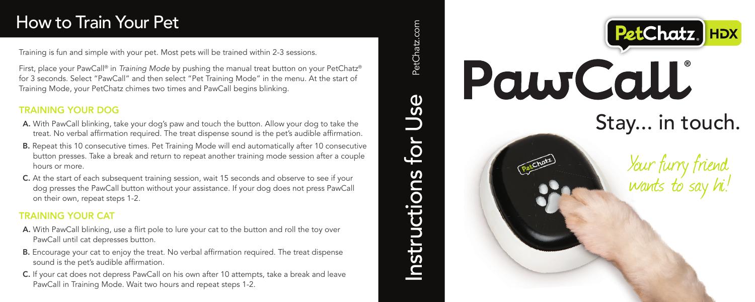# How to Train Your Pet

Training is fun and simple with your pet. Most pets will be trained within 2-3 sessions.

First, place your PawCall® in *Training Mode* by pushing the manual treat button on your PetChatz® for 3 seconds. Select "PawCall" and then select "Pet Training Mode" in the menu. At the start of Training Mode, your PetChatz chimes two times and PawCall begins blinking.

#### TRAINING YOUR DOG

- A. With PawCall blinking, take your dog's paw and touch the button. Allow your dog to take the treat. No verbal affirmation required. The treat dispense sound is the pet's audible affirmation.
- B. Repeat this 10 consecutive times. Pet Training Mode will end automatically after 10 consecutive button presses. Take a break and return to repeat another training mode session after a couple hours or more.
- C. At the start of each subsequent training session, wait 15 seconds and observe to see if your dog presses the PawCall button without your assistance. If your dog does not press PawCall on their own, repeat steps 1-2.

#### TRAINING YOUR CAT

- A. With PawCall blinking, use a flirt pole to lure your cat to the button and roll the toy over PawCall until cat depresses button.
- B. Encourage your cat to enjoy the treat. No verbal affirmation required. The treat dispense sound is the pet's audible affirmation.
- C. If your cat does not depress PawCall on his own after 10 attempts, take a break and leave PawCall in Training Mode. Wait two hours and repeat steps 1-2.



Instructions for  $\sf{Use}$  PetChatz.com

nstructions

 $f$ Or

Use

PetChatz.com